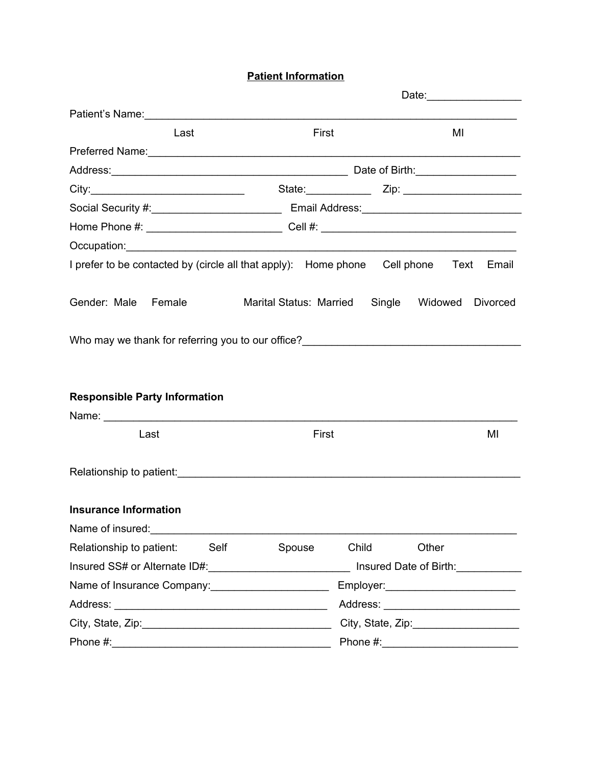**Patient Information**

| Patient's Name: 1990 and 200 million and 200 million and 200 million and 200 million and 200 million and 200 million and 200 million and 200 million and 200 million and 200 million and 200 million and 200 million and 200 m |                                        |                                        |  |  |
|--------------------------------------------------------------------------------------------------------------------------------------------------------------------------------------------------------------------------------|----------------------------------------|----------------------------------------|--|--|
| Last                                                                                                                                                                                                                           | First                                  | MI                                     |  |  |
|                                                                                                                                                                                                                                |                                        |                                        |  |  |
|                                                                                                                                                                                                                                |                                        |                                        |  |  |
|                                                                                                                                                                                                                                |                                        | State: Zip: Zip:                       |  |  |
|                                                                                                                                                                                                                                |                                        |                                        |  |  |
|                                                                                                                                                                                                                                |                                        |                                        |  |  |
|                                                                                                                                                                                                                                |                                        |                                        |  |  |
| I prefer to be contacted by (circle all that apply): Home phone Cell phone Text                                                                                                                                                |                                        | Email                                  |  |  |
| Gender: Male Female                                                                                                                                                                                                            | Marital Status: Married Single Widowed | <b>Divorced</b>                        |  |  |
|                                                                                                                                                                                                                                |                                        |                                        |  |  |
| <b>Responsible Party Information</b>                                                                                                                                                                                           |                                        |                                        |  |  |
|                                                                                                                                                                                                                                |                                        |                                        |  |  |
| Last                                                                                                                                                                                                                           | First                                  | MI                                     |  |  |
|                                                                                                                                                                                                                                |                                        |                                        |  |  |
| <b>Insurance Information</b>                                                                                                                                                                                                   |                                        |                                        |  |  |
| Name of insured:                                                                                                                                                                                                               |                                        |                                        |  |  |
| Self<br>Relationship to patient:                                                                                                                                                                                               | Spouse<br>Child                        | Other                                  |  |  |
| Insured SS# or Alternate ID#:______________________________ Insured Date of Birth:____________                                                                                                                                 |                                        |                                        |  |  |
| Name of Insurance Company:<br><u> and Company:</u>                                                                                                                                                                             |                                        | Employer:_____________________________ |  |  |
|                                                                                                                                                                                                                                |                                        |                                        |  |  |
|                                                                                                                                                                                                                                |                                        |                                        |  |  |
|                                                                                                                                                                                                                                |                                        |                                        |  |  |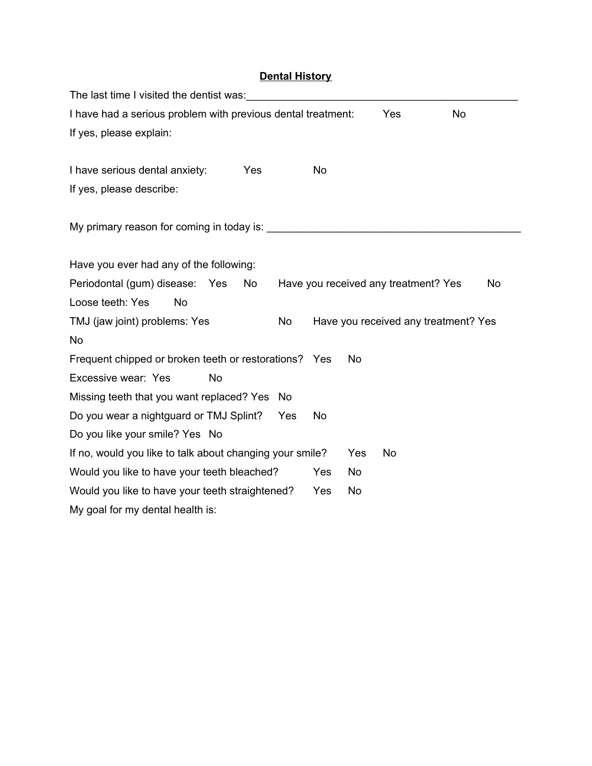## **Dental History**

| The last time I visited the dentist was:                                                                        |     |    |     |                                      |    |
|-----------------------------------------------------------------------------------------------------------------|-----|----|-----|--------------------------------------|----|
| I have had a serious problem with previous dental treatment:<br>Yes<br><b>No</b>                                |     |    |     |                                      |    |
| If yes, please explain:                                                                                         |     |    |     |                                      |    |
| I have serious dental anxiety:<br>Yes                                                                           |     | No |     |                                      |    |
| If yes, please describe:                                                                                        |     |    |     |                                      |    |
| My primary reason for coming in today is: <b>With an article and the primary reason for coming</b> in today is: |     |    |     |                                      |    |
| Have you ever had any of the following:                                                                         |     |    |     |                                      |    |
| Periodontal (gum) disease: Yes<br>No                                                                            |     |    |     | Have you received any treatment? Yes | No |
| Loose teeth: Yes<br>No                                                                                          |     |    |     |                                      |    |
| TMJ (jaw joint) problems: Yes                                                                                   | No  |    |     | Have you received any treatment? Yes |    |
| No                                                                                                              |     |    |     |                                      |    |
| Frequent chipped or broken teeth or restorations? Yes<br><b>No</b>                                              |     |    |     |                                      |    |
| Excessive wear: Yes<br>No                                                                                       |     |    |     |                                      |    |
| Missing teeth that you want replaced? Yes                                                                       | No. |    |     |                                      |    |
| Do you wear a nightguard or TMJ Splint?                                                                         | Yes | No |     |                                      |    |
| Do you like your smile? Yes No                                                                                  |     |    |     |                                      |    |
| If no, would you like to talk about changing your smile?                                                        |     |    | Yes | No                                   |    |
| Would you like to have your teeth bleached?<br>Yes<br>No                                                        |     |    |     |                                      |    |
| Would you like to have your teeth straightened?<br>Yes<br>No                                                    |     |    |     |                                      |    |
| My goal for my dental health is:                                                                                |     |    |     |                                      |    |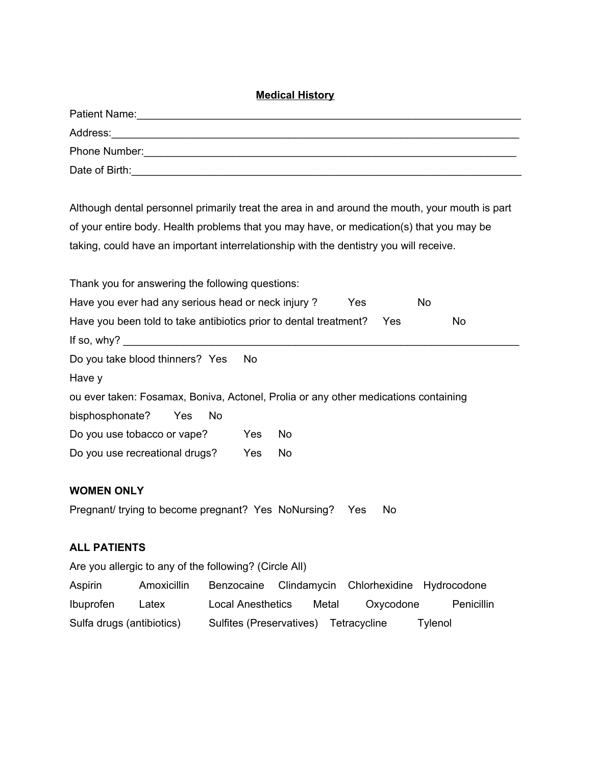#### **Medical History**

| Patient Name:  |
|----------------|
| Address:       |
| Phone Number:  |
| Date of Birth: |

Although dental personnel primarily treat the area in and around the mouth, your mouth is part of your entire body. Health problems that you may have, or medication(s) that you may be taking, could have an important interrelationship with the dentistry you will receive.

| Thank you for answering the following questions:                                             |     |     |  |  |  |  |
|----------------------------------------------------------------------------------------------|-----|-----|--|--|--|--|
| Have you ever had any serious head or neck injury?<br>Yes<br><b>No</b>                       |     |     |  |  |  |  |
| Have you been told to take antibiotics prior to dental treatment?<br><b>No</b><br><b>Yes</b> |     |     |  |  |  |  |
| If so, why? $\overline{\phantom{a}}$                                                         |     |     |  |  |  |  |
| Do you take blood thinners? Yes                                                              | No. |     |  |  |  |  |
| Have y                                                                                       |     |     |  |  |  |  |
| ou ever taken: Fosamax, Boniva, Actonel, Prolia or any other medications containing          |     |     |  |  |  |  |
| bisphosphonate?<br>Yes<br>No.                                                                |     |     |  |  |  |  |
| Do you use tobacco or vape?                                                                  | Yes | No. |  |  |  |  |
| Do you use recreational drugs?                                                               | Yes | No  |  |  |  |  |

### **WOMEN ONLY**

Pregnant/ trying to become pregnant? Yes NoNursing? Yes No

#### **ALL PATIENTS**

Are you allergic to any of the following? (Circle All)

| Aspirin                   | Amoxicillin |                                       |       | Benzocaine Clindamycin Chlorhexidine Hydrocodone |            |
|---------------------------|-------------|---------------------------------------|-------|--------------------------------------------------|------------|
| <i>Ibuprofen</i>          | Latex       | Local Anesthetics                     | Metal | Oxycodone                                        | Penicillin |
| Sulfa drugs (antibiotics) |             | Sulfites (Preservatives) Tetracycline |       |                                                  | Tylenol    |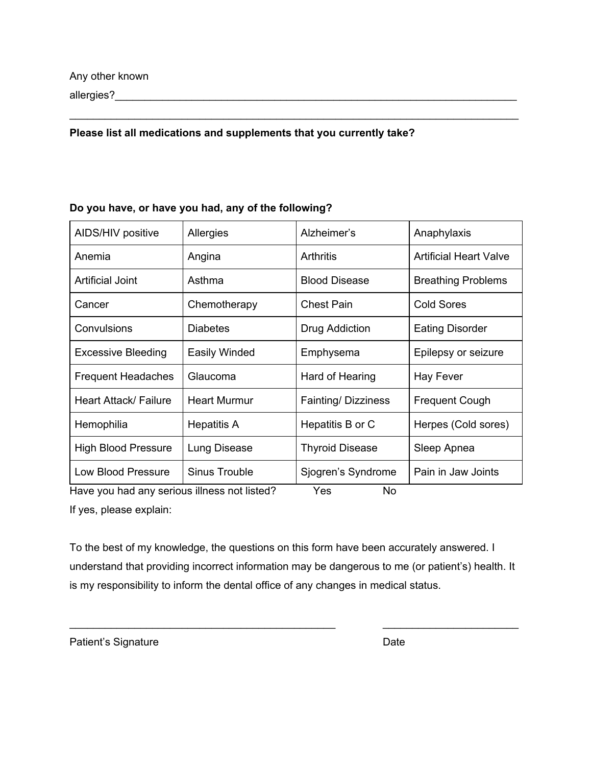allergies?\_\_\_\_\_\_\_\_\_\_\_\_\_\_\_\_\_\_\_\_\_\_\_\_\_\_\_\_\_\_\_\_\_\_\_\_\_\_\_\_\_\_\_\_\_\_\_\_\_\_\_\_\_\_\_\_\_\_\_\_\_\_\_\_\_\_\_\_

#### **Please list all medications and supplements that you currently take?**

#### **Do you have, or have you had, any of the following?**

| AIDS/HIV positive          | Allergies           | Alzheimer's            | Anaphylaxis                   |
|----------------------------|---------------------|------------------------|-------------------------------|
| Anemia                     | Angina              | <b>Arthritis</b>       | <b>Artificial Heart Valve</b> |
| <b>Artificial Joint</b>    | Asthma              | <b>Blood Disease</b>   | <b>Breathing Problems</b>     |
| Cancer                     | Chemotherapy        | <b>Chest Pain</b>      | <b>Cold Sores</b>             |
| Convulsions                | <b>Diabetes</b>     | Drug Addiction         | <b>Eating Disorder</b>        |
| <b>Excessive Bleeding</b>  | Easily Winded       | Emphysema              | Epilepsy or seizure           |
| <b>Frequent Headaches</b>  | Glaucoma            | Hard of Hearing        | <b>Hay Fever</b>              |
| Heart Attack/ Failure      | <b>Heart Murmur</b> | Fainting/Dizziness     | <b>Frequent Cough</b>         |
| Hemophilia                 | Hepatitis A         | Hepatitis B or C       | Herpes (Cold sores)           |
| <b>High Blood Pressure</b> | Lung Disease        | <b>Thyroid Disease</b> | Sleep Apnea                   |
| Low Blood Pressure         | Sinus Trouble       | Sjogren's Syndrome     | Pain in Jaw Joints            |

\_\_\_\_\_\_\_\_\_\_\_\_\_\_\_\_\_\_\_\_\_\_\_\_\_\_\_\_\_\_\_\_\_\_\_\_\_\_\_\_\_\_\_\_\_\_\_\_\_\_\_\_\_\_\_\_\_\_\_\_\_\_\_\_\_\_\_\_\_\_\_\_\_\_\_\_

Have you had any serious illness not listed? Yes No

If yes, please explain:

To the best of my knowledge, the questions on this form have been accurately answered. I understand that providing incorrect information may be dangerous to me (or patient's) health. It is my responsibility to inform the dental office of any changes in medical status.

\_\_\_\_\_\_\_\_\_\_\_\_\_\_\_\_\_\_\_\_\_\_\_\_\_\_\_\_\_\_\_\_\_\_\_\_\_\_\_\_\_\_\_\_\_ \_\_\_\_\_\_\_\_\_\_\_\_\_\_\_\_\_\_\_\_\_\_\_

Patient's Signature Date Date